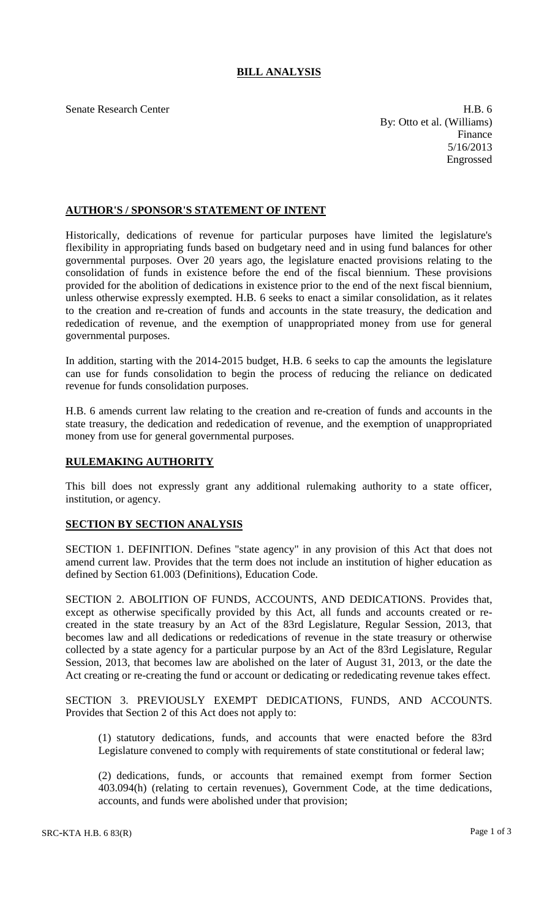## **BILL ANALYSIS**

Senate Research Center **H.B.** 6 By: Otto et al. (Williams) Finance 5/16/2013 Engrossed

## **AUTHOR'S / SPONSOR'S STATEMENT OF INTENT**

Historically, dedications of revenue for particular purposes have limited the legislature's flexibility in appropriating funds based on budgetary need and in using fund balances for other governmental purposes. Over 20 years ago, the legislature enacted provisions relating to the consolidation of funds in existence before the end of the fiscal biennium. These provisions provided for the abolition of dedications in existence prior to the end of the next fiscal biennium, unless otherwise expressly exempted. H.B. 6 seeks to enact a similar consolidation, as it relates to the creation and re-creation of funds and accounts in the state treasury, the dedication and rededication of revenue, and the exemption of unappropriated money from use for general governmental purposes.

In addition, starting with the 2014-2015 budget, H.B. 6 seeks to cap the amounts the legislature can use for funds consolidation to begin the process of reducing the reliance on dedicated revenue for funds consolidation purposes.

H.B. 6 amends current law relating to the creation and re-creation of funds and accounts in the state treasury, the dedication and rededication of revenue, and the exemption of unappropriated money from use for general governmental purposes.

## **RULEMAKING AUTHORITY**

This bill does not expressly grant any additional rulemaking authority to a state officer, institution, or agency.

## **SECTION BY SECTION ANALYSIS**

SECTION 1. DEFINITION. Defines "state agency" in any provision of this Act that does not amend current law. Provides that the term does not include an institution of higher education as defined by Section 61.003 (Definitions), Education Code.

SECTION 2. ABOLITION OF FUNDS, ACCOUNTS, AND DEDICATIONS. Provides that, except as otherwise specifically provided by this Act, all funds and accounts created or recreated in the state treasury by an Act of the 83rd Legislature, Regular Session, 2013, that becomes law and all dedications or rededications of revenue in the state treasury or otherwise collected by a state agency for a particular purpose by an Act of the 83rd Legislature, Regular Session, 2013, that becomes law are abolished on the later of August 31, 2013, or the date the Act creating or re-creating the fund or account or dedicating or rededicating revenue takes effect.

SECTION 3. PREVIOUSLY EXEMPT DEDICATIONS, FUNDS, AND ACCOUNTS. Provides that Section 2 of this Act does not apply to:

(1) statutory dedications, funds, and accounts that were enacted before the 83rd Legislature convened to comply with requirements of state constitutional or federal law;

(2) dedications, funds, or accounts that remained exempt from former Section 403.094(h) (relating to certain revenues), Government Code, at the time dedications, accounts, and funds were abolished under that provision;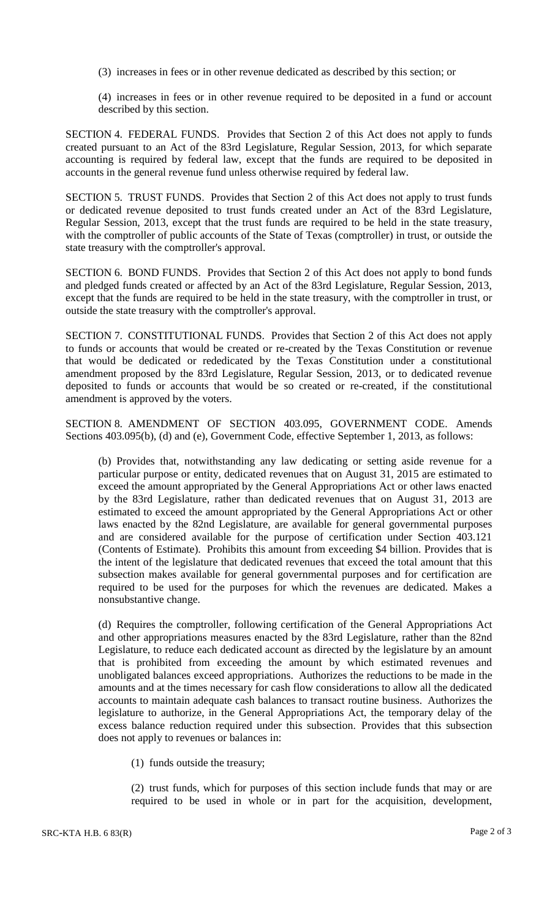(3) increases in fees or in other revenue dedicated as described by this section; or

(4) increases in fees or in other revenue required to be deposited in a fund or account described by this section.

SECTION 4. FEDERAL FUNDS. Provides that Section 2 of this Act does not apply to funds created pursuant to an Act of the 83rd Legislature, Regular Session, 2013, for which separate accounting is required by federal law, except that the funds are required to be deposited in accounts in the general revenue fund unless otherwise required by federal law.

SECTION 5. TRUST FUNDS. Provides that Section 2 of this Act does not apply to trust funds or dedicated revenue deposited to trust funds created under an Act of the 83rd Legislature, Regular Session, 2013, except that the trust funds are required to be held in the state treasury, with the comptroller of public accounts of the State of Texas (comptroller) in trust, or outside the state treasury with the comptroller's approval.

SECTION 6. BOND FUNDS. Provides that Section 2 of this Act does not apply to bond funds and pledged funds created or affected by an Act of the 83rd Legislature, Regular Session, 2013, except that the funds are required to be held in the state treasury, with the comptroller in trust, or outside the state treasury with the comptroller's approval.

SECTION 7. CONSTITUTIONAL FUNDS. Provides that Section 2 of this Act does not apply to funds or accounts that would be created or re-created by the Texas Constitution or revenue that would be dedicated or rededicated by the Texas Constitution under a constitutional amendment proposed by the 83rd Legislature, Regular Session, 2013, or to dedicated revenue deposited to funds or accounts that would be so created or re-created, if the constitutional amendment is approved by the voters.

SECTION 8. AMENDMENT OF SECTION 403.095, GOVERNMENT CODE. Amends Sections 403.095(b), (d) and (e), Government Code, effective September 1, 2013, as follows:

(b) Provides that, notwithstanding any law dedicating or setting aside revenue for a particular purpose or entity, dedicated revenues that on August 31, 2015 are estimated to exceed the amount appropriated by the General Appropriations Act or other laws enacted by the 83rd Legislature, rather than dedicated revenues that on August 31, 2013 are estimated to exceed the amount appropriated by the General Appropriations Act or other laws enacted by the 82nd Legislature, are available for general governmental purposes and are considered available for the purpose of certification under Section 403.121 (Contents of Estimate). Prohibits this amount from exceeding \$4 billion. Provides that is the intent of the legislature that dedicated revenues that exceed the total amount that this subsection makes available for general governmental purposes and for certification are required to be used for the purposes for which the revenues are dedicated. Makes a nonsubstantive change.

(d) Requires the comptroller, following certification of the General Appropriations Act and other appropriations measures enacted by the 83rd Legislature, rather than the 82nd Legislature, to reduce each dedicated account as directed by the legislature by an amount that is prohibited from exceeding the amount by which estimated revenues and unobligated balances exceed appropriations. Authorizes the reductions to be made in the amounts and at the times necessary for cash flow considerations to allow all the dedicated accounts to maintain adequate cash balances to transact routine business. Authorizes the legislature to authorize, in the General Appropriations Act, the temporary delay of the excess balance reduction required under this subsection. Provides that this subsection does not apply to revenues or balances in:

(1) funds outside the treasury;

(2) trust funds, which for purposes of this section include funds that may or are required to be used in whole or in part for the acquisition, development,